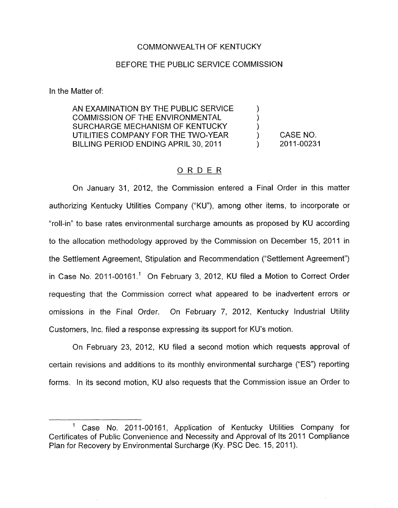## COMMONWEALTH OF KENTUCKY

# BEFORE THE PUBLIC SERVICE COMMISSION

In the Matter of:

AN EXAMINATION BY THE PUBLIC SERVICE  $\qquad \qquad$  ) COMMISSION OF THE ENVIRONMENTAL ) SURCHARGE MECHANISM OF KENTUCKY UTILITIES COMPANY FOR THE TWO-YEAR ) CASE NO. BILLING PERIOD ENDING APRIL 30, 2011 (2011-00231)

## ORDER

On January 31, 2012, the Commission entered a Final Order in this matter authorizing Kentucky Utilities Company ("KU"), among other items, to incorporate or "roll-in" to base rates environmental surcharge amounts as proposed by KU according to the allocation methodology approved by the Commission on December 15, 2011 in the Settlement Agreement, Stipulation and Recommendation ("Settlement Agreement") in Case No. 2011-00161.' On February 3, 2012, KU filed a Motion to Correct Order requesting that the Commission correct what appeared to be inadvertent errors or omissions in the Final Order. On February 7, 2012, Kentucky Industrial Utility Customers, Inc. filed a response expressing its support for KU's motion.

On February 23, 2012, KU filed a second motion which requests approval of certain revisions and additions to its monthly environmental surcharge ("ES") reporting forms. In its second motion, KU also requests that the Commission issue an Order to

Case No. 2011-00161, Application of Kentucky Utilities Company for Certificates of Public Convenience and Necessity and Approval of Its 2011 Compliance Plan for Recovery by Environmental Surcharge (Ky. PSC Dec. 15, 2011).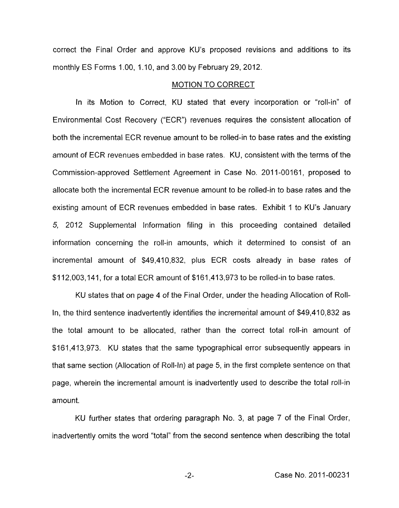correct the Final Order and approve KU's proposed revisions and additions to its monthly ES Forms 1.00, 1.10, and 3.00 by February 29, 2012.

#### MOTION TO CORRECT

In its Motion to Correct, KU stated that every incorporation or "roll-in" of Environmental Cost Recovery ("ECR") revenues requires the consistent allocation of both the incremental ECR revenue amount to be rolled-in to base rates and the existing amount of ECR revenues embedded in base rates. KU, consistent with the terms of the Commission-approved Settlement Agreement in Case No. 2011-00161, proposed to allocate both the incremental ECR revenue amount to be rolled-in to base rates and the existing amount of ECR revenues embedded in base rates. Exhibit I to KU's January 5, 2012 Supplemental Information filing in this proceeding contained detailed information concerning the roll-in amounts, which it determined to consist of an incremental amount of \$49,410,832, plus ECR costs already in base rates of \$1 12,003,141, for a total ECR amount of \$161,413,973 to be rolled-in to base rates.

KU states that on page 4 of the Final Order, under the heading Allocation of Roll-In, the third sentence inadvertently identifies the incremental amount of \$49,410,832 as the total amount to be allocated, rather than the correct total roll-in amount of \$161,413,973. KU states that the same typographical error subsequently appears in that same section (Allocation of Roll-In) at page 5, in the first complete sentence on that page, wherein the incremental amount is inadvertently used to describe the total roll-in amount.

KU further states that ordering paragraph No, 3, at page 7 of the Final Order, inadvertently omits the word "total" from the second sentence when describing the total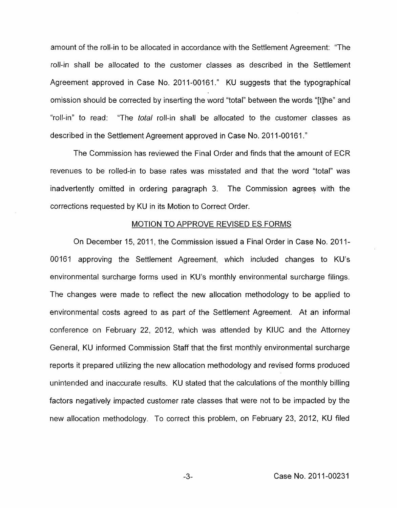amount of the roll-in to be allocated in accordance with the Settlement Agreement: "The roll-in shall be allocated to the customer classes as described in the Settlement Agreement approved in Case No. 2011-00161." KU suggests that the typographical omission should be corrected by inserting the word "total" between the words "[tlhe" and "roll-in" to read: "The *total* roll-in shall be allocated to the customer classes as described in the Settlement Agreement approved in Case No. 2011-00161."

The Commission has reviewed the Final Order and finds that the amount of ECR revenues to be rolled-in to base rates was misstated and that the word "total" was inadvertently omitted in ordering paragraph 3. The Commission agrees with the corrections requested by KU in its Motion to Correct Order.

#### MOTION TO APPROVE REVISED ES FORMS

On December 15, 2011, the Commission issued a Final Order in Case No. 2011-00161 approving the Settlement Agreement, which included changes to KU's environmental surcharge forms used in KU's monthly environmental surcharge filings. The changes were made to reflect the new allocation methodology to be applied to environmental costs agreed to as part of the Settlement Agreement. At an informal conference on February 22, 2012, which was attended by KlUC and the Attorney General, KU informed Commission Staff that the first monthly environmental surcharge reports it prepared utilizing the new allocation methodology and revised forms produced unintended and inaccurate results. KU stated that the calculations of the monthly billing factors negatively impacted customer rate classes that were not to be impacted by the new allocation methodology, To correct this problem, on February 23, 2012, KU filed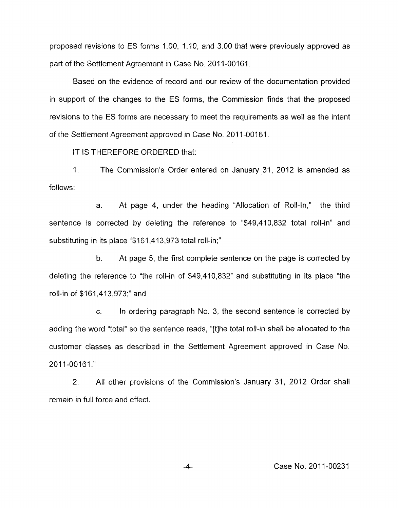proposed revisions to ES forms 1.00, 1.10, and 3.00 that were previously approved as part of the Settlement Agreement in Case No. 2011-00161.

Based on the evidence of record and our review of the documentation provided in support of the changes to the ES forms, the Commission finds that the proposed revisions to the ES forms are necessary to meet the requirements as well as the intent of the Settlement Agreement approved in Case No. 2011-00161.

IT IS THEREFORE ORDERED that:

1. The Commission's Order entered on January 31, 2012 is amended as follows:

a. At page 4, under the heading "Allocation of Roll-In," the third sentence is corrected by deleting the reference to "\$49,410,832 total roll-in" and substituting in its place "\$161,413,973 total roll-in;"

b. At page 5, the first complete sentence on the page is corrected by deleting the reference to "the roll-in of \$49,410,832" and substituting in its place "the roll-in of \$161,413,973;" and

*c.* In ordering paragraph **No.** 3, the second sentence is corrected by adding the word "total" so the sentence reads, "[tlhe total roll-in shall be allocated to the customer classes as described in the Settlement Agreement approved in Case No. 2011-00161."

2. All other provisions of the Commission's January 31, 2012 Order shall remain in full force and effect.

**-4-** Case **No.** 201 1-00231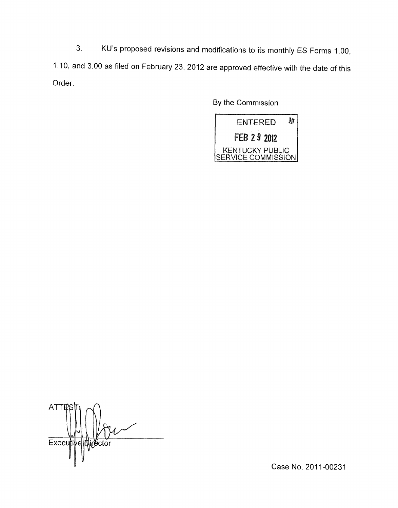**3.** KU's proposed revisions and modifications to its monthly ES Forms 1.00, 1 .IO, and 3.00 as filed on February 23, 2012 are approved effective with the date of this Order.

By the Commission



**ATT** Execu **Airector** 

Case No. 2011-00231